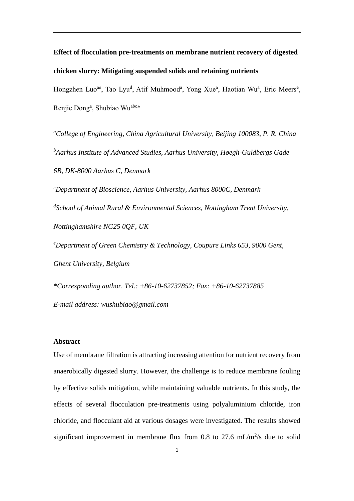**Effect of flocculation pre-treatments on membrane nutrient recovery of digested chicken slurry: Mitigating suspended solids and retaining nutrients**

Hongzhen Luo<sup>ae</sup>, Tao Lyu<sup>d</sup>, Atif Muhmood<sup>a</sup>, Yong Xue<sup>a</sup>, Haotian Wu<sup>a</sup>, Eric Meers<sup>e</sup>, Renjie Dong<sup>a</sup>, Shubiao Wu<sup>abc\*</sup>

*<sup>a</sup>College of Engineering, China Agricultural University, Beijing 100083, P. R. China <sup>b</sup>Aarhus Institute of Advanced Studies, Aarhus University, Høegh-Guldbergs Gade 6B, DK-8000 Aarhus C, Denmark*

*<sup>c</sup>Department of Bioscience, Aarhus University, Aarhus 8000C, Denmark d School of Animal Rural & Environmental Sciences, Nottingham Trent University, Nottinghamshire NG25 0QF, UK*

*<sup>e</sup>Department of Green Chemistry & Technology, Coupure Links 653, 9000 Gent, Ghent University, Belgium*

*\*Corresponding author. Tel.: +86-10-62737852; Fax: +86-10-62737885 E-mail address: [wushubiao@gmail.com](mailto:wushubiao@gmail.com)*

# **Abstract**

Use of membrane filtration is attracting increasing attention for nutrient recovery from anaerobically digested slurry. However, the challenge is to reduce membrane fouling by effective solids mitigation, while maintaining valuable nutrients. In this study, the effects of several flocculation pre-treatments using polyaluminium chloride, iron chloride, and flocculant aid at various dosages were investigated. The results showed significant improvement in membrane flux from 0.8 to 27.6 mL/m<sup>2</sup>/s due to solid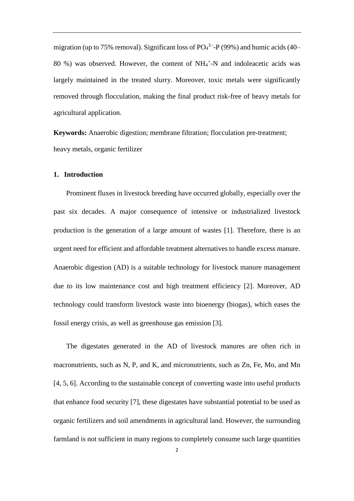migration (up to 75% removal). Significant loss of  $PO<sub>4</sub><sup>3-</sup> - P(99%)$  and humic acids (40– 80 %) was observed. However, the content of NH<sub>4</sub><sup>+</sup>-N and indoleacetic acids was largely maintained in the treated slurry. Moreover, toxic metals were significantly removed through flocculation, making the final product risk-free of heavy metals for agricultural application.

**Keywords:** Anaerobic digestion; membrane filtration; flocculation pre-treatment; heavy metals, organic fertilizer

# **1. Introduction**

Prominent fluxes in livestock breeding have occurred globally, especially over the past six decades. A major consequence of intensive or industrialized livestock production is the generation of a large amount of wastes [1]. Therefore, there is an urgent need for efficient and affordable treatment alternatives to handle excess manure. Anaerobic digestion (AD) is a suitable technology for livestock manure management due to its low maintenance cost and high treatment efficiency [2]. Moreover, AD technology could transform livestock waste into bioenergy (biogas), which eases the fossil energy crisis, as well as greenhouse gas emission [3].

The digestates generated in the AD of livestock manures are often rich in macronutrients, such as N, P, and K, and micronutrients, such as Zn, Fe, Mo, and Mn [4, 5, 6]. According to the sustainable concept of converting waste into useful products that enhance food security [7], these digestates have substantial potential to be used as organic fertilizers and soil amendments in agricultural land. However, the surrounding farmland is not sufficient in many regions to completely consume such large quantities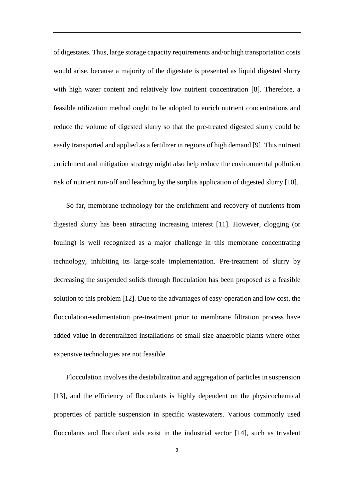of digestates. Thus, large storage capacity requirements and/or high transportation costs would arise, because a majority of the digestate is presented as liquid digested slurry with high water content and relatively low nutrient concentration [8]. Therefore, a feasible utilization method ought to be adopted to enrich nutrient concentrations and reduce the volume of digested slurry so that the pre-treated digested slurry could be easily transported and applied as a fertilizer in regions of high demand [9]. This nutrient enrichment and mitigation strategy might also help reduce the environmental pollution risk of nutrient run-off and leaching by the surplus application of digested slurry [10].

So far, membrane technology for the enrichment and recovery of nutrients from digested slurry has been attracting increasing interest [11]. However, clogging (or fouling) is well recognized as a major challenge in this membrane concentrating technology, inhibiting its large-scale implementation. Pre-treatment of slurry by decreasing the suspended solids through flocculation has been proposed as a feasible solution to this problem [12]. Due to the advantages of easy-operation and low cost, the flocculation-sedimentation pre-treatment prior to membrane filtration process have added value in decentralized installations of small size anaerobic plants where other expensive technologies are not feasible.

Flocculation involves the destabilization and aggregation of particles in suspension [13], and the efficiency of flocculants is highly dependent on the physicochemical properties of particle suspension in specific wastewaters. Various commonly used flocculants and flocculant aids exist in the industrial sector [14], such as trivalent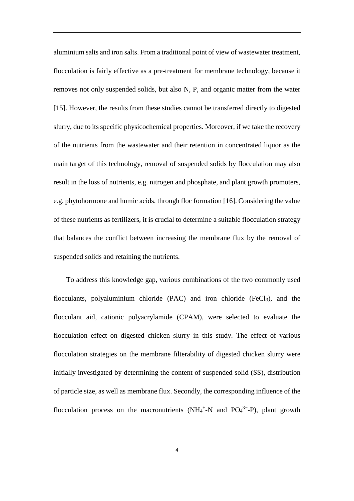aluminium salts and iron salts. From a traditional point of view of wastewater treatment, flocculation is fairly effective as a pre-treatment for membrane technology, because it removes not only suspended solids, but also N, P, and organic matter from the water [15]. However, the results from these studies cannot be transferred directly to digested slurry, due to its specific physicochemical properties. Moreover, if we take the recovery of the nutrients from the wastewater and their retention in concentrated liquor as the main target of this technology, removal of suspended solids by flocculation may also result in the loss of nutrients, e.g. nitrogen and phosphate, and plant growth promoters, e.g. phytohormone and humic acids, through floc formation [16]. Considering the value of these nutrients as fertilizers, it is crucial to determine a suitable flocculation strategy that balances the conflict between increasing the membrane flux by the removal of suspended solids and retaining the nutrients.

To address this knowledge gap, various combinations of the two commonly used flocculants, polyaluminium chloride  $(PAC)$  and iron chloride  $(FeCl<sub>3</sub>)$ , and the flocculant aid, cationic polyacrylamide (CPAM), were selected to evaluate the flocculation effect on digested chicken slurry in this study. The effect of various flocculation strategies on the membrane filterability of digested chicken slurry were initially investigated by determining the content of suspended solid (SS), distribution of particle size, as well as membrane flux. Secondly, the corresponding influence of the flocculation process on the macronutrients (NH<sub>4</sub><sup>+</sup>-N and PO<sub>4</sub><sup>3–</sup>-P), plant growth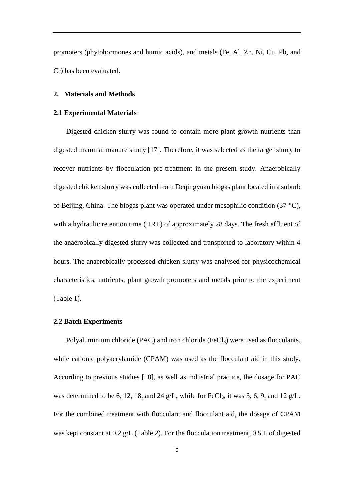promoters (phytohormones and humic acids), and metals (Fe, Al, Zn, Ni, Cu, Pb, and Cr) has been evaluated.

## **2. Materials and Methods**

## **2.1 Experimental Materials**

Digested chicken slurry was found to contain more plant growth nutrients than digested mammal manure slurry [17]. Therefore, it was selected as the target slurry to recover nutrients by flocculation pre-treatment in the present study. Anaerobically digested chicken slurry was collected from Deqingyuan biogas plant located in a suburb of Beijing, China. The biogas plant was operated under mesophilic condition (37 °C), with a hydraulic retention time (HRT) of approximately 28 days. The fresh effluent of the anaerobically digested slurry was collected and transported to laboratory within 4 hours. The anaerobically processed chicken slurry was analysed for physicochemical characteristics, nutrients, plant growth promoters and metals prior to the experiment (Table 1).

#### **2.2 Batch Experiments**

Polyaluminium chloride (PAC) and iron chloride (FeCl3) were used as flocculants, while cationic polyacrylamide (CPAM) was used as the flocculant aid in this study. According to previous studies [18], as well as industrial practice, the dosage for PAC was determined to be 6, 12, 18, and 24 g/L, while for FeCl<sub>3</sub>, it was 3, 6, 9, and 12 g/L. For the combined treatment with flocculant and flocculant aid, the dosage of CPAM was kept constant at 0.2 g/L (Table 2). For the flocculation treatment, 0.5 L of digested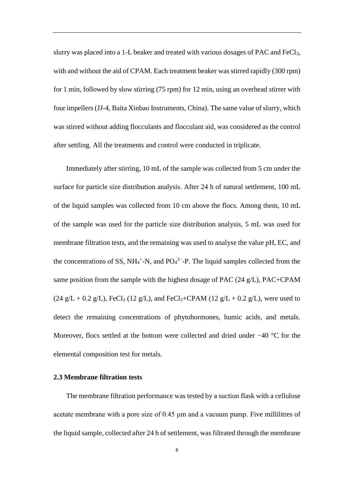slurry was placed into a 1-L beaker and treated with various dosages of PAC and FeCl<sub>3</sub>, with and without the aid of CPAM. Each treatment beaker was stirred rapidly (300 rpm) for 1 min, followed by slow stirring (75 rpm) for 12 min, using an overhead stirrer with four impellers (JJ-4, Baita Xinbao Instruments, China). The same value of slurry, which was stirred without adding flocculants and flocculant aid, was considered as the control after settling. All the treatments and control were conducted in triplicate.

Immediately after stirring, 10 mL of the sample was collected from 5 cm under the surface for particle size distribution analysis. After 24 h of natural settlement, 100 mL of the liquid samples was collected from 10 cm above the flocs. Among them, 10 mL of the sample was used for the particle size distribution analysis, 5 mL was used for membrane filtration tests, and the remaining was used to analyse the value pH, EC, and the concentrations of SS,  $NH_4^+$ -N, and  $PO_4^3$ <sup>-</sup>-P. The liquid samples collected from the same position from the sample with the highest dosage of PAC (24 g/L), PAC+CPAM  $(24 \text{ g/L} + 0.2 \text{ g/L})$ , FeCl<sub>3</sub> (12 g/L), and FeCl<sub>3</sub>+CPAM (12 g/L + 0.2 g/L), were used to detect the remaining concentrations of phytohormones, humic acids, and metals. Moreover, flocs settled at the bottom were collected and dried under −40 °C for the elemental composition test for metals.

# **2.3 Membrane filtration tests**

The membrane filtration performance was tested by a suction flask with a cellulose acetate membrane with a pore size of 0.45 μm and a vacuum pump. Five millilitres of the liquid sample, collected after 24 h of settlement, was filtrated through the membrane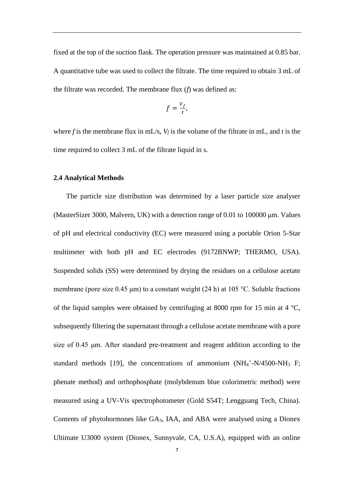fixed at the top of the suction flask. The operation pressure was maintained at 0.85 bar. A quantitative tube was used to collect the filtrate. The time required to obtain 3 mL of the filtrate was recorded. The membrane flux (*f*) was defined as:

$$
f=\frac{v_f}{t},
$$

where *f* is the membrane flux in mL/s, *V<sup>f</sup>* is the volume of the filtrate in mL, and *t* is the time required to collect 3 mL of the filtrate liquid in s.

#### **2.4 Analytical Methods**

The particle size distribution was determined by a laser particle size analyser (MasterSizer 3000, Malvern, UK) with a detection range of 0.01 to 100000 μm. Values of pH and electrical conductivity (EC) were measured using a portable Orion 5-Star multimeter with both pH and EC electrodes (9172BNWP; THERMO, USA). Suspended solids (SS) were determined by drying the residues on a cellulose acetate membrane (pore size 0.45 μm) to a constant weight (24 h) at 105 °C. Soluble fractions of the liquid samples were obtained by centrifuging at 8000 rpm for 15 min at 4  $\degree$ C, subsequently filtering the supernatant through a cellulose acetate membrane with a pore size of 0.45 μm. After standard pre-treatment and reagent addition according to the standard methods [19], the concentrations of ammonium  $(NH<sub>4</sub><sup>+</sup>-N/4500-NH<sub>3</sub> F;$ phenate method) and orthophosphate (molybdenum blue colorimetric method) were measured using a UV-Vis spectrophotometer (Gold S54T; Lengguang Tech, China). Contents of phytohormones like GA3, IAA, and ABA were analysed using a Dionex Ultimate U3000 system (Dionex, Sunnyvale, CA, U.S.A), equipped with an online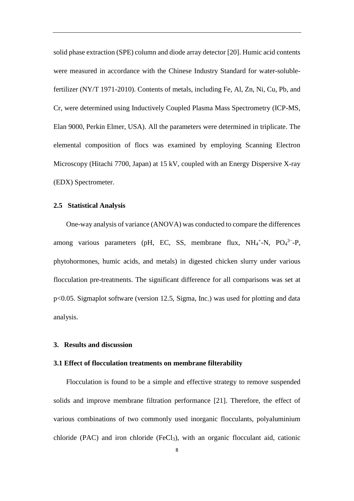solid phase extraction (SPE) column and diode array detector [20]. Humic acid contents were measured in accordance with the Chinese Industry Standard for water-solublefertilizer (NY/T 1971-2010). Contents of metals, including Fe, Al, Zn, Ni, Cu, Pb, and Cr, were determined using Inductively Coupled Plasma Mass Spectrometry (ICP-MS, Elan 9000, Perkin Elmer, USA). All the parameters were determined in triplicate. The elemental composition of flocs was examined by employing Scanning Electron Microscopy (Hitachi 7700, Japan) at 15 kV, coupled with an Energy Dispersive X-ray (EDX) Spectrometer.

# **2.5 Statistical Analysis**

One-way analysis of variance (ANOVA) was conducted to compare the differences among various parameters (pH, EC, SS, membrane flux,  $NH_4^+$ -N,  $PO_4^3$ --P, phytohormones, humic acids, and metals) in digested chicken slurry under various flocculation pre-treatments. The significant difference for all comparisons was set at p<0.05. Sigmaplot software (version 12.5, Sigma, Inc.) was used for plotting and data analysis.

#### **3. Results and discussion**

### **3.1 Effect of flocculation treatments on membrane filterability**

Flocculation is found to be a simple and effective strategy to remove suspended solids and improve membrane filtration performance [21]. Therefore, the effect of various combinations of two commonly used inorganic flocculants, polyaluminium chloride (PAC) and iron chloride (FeCl3), with an organic flocculant aid, cationic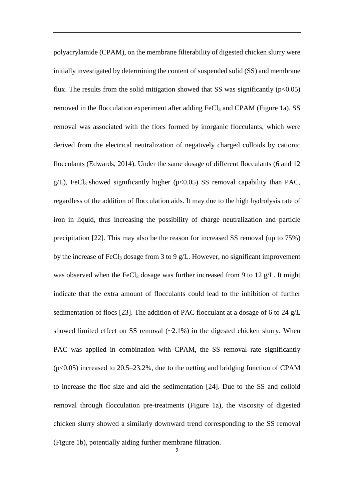polyacrylamide (CPAM), on the membrane filterability of digested chicken slurry were initially investigated by determining the content of suspended solid (SS) and membrane flux. The results from the solid mitigation showed that SS was significantly  $(p<0.05)$ removed in the flocculation experiment after adding FeCl<sub>3</sub> and CPAM (Figure 1a). SS removal was associated with the flocs formed by inorganic flocculants, which were derived from the electrical neutralization of negatively charged colloids by cationic flocculants (Edwards, 2014). Under the same dosage of different flocculants (6 and 12 g/L), FeCl<sub>3</sub> showed significantly higher ( $p<0.05$ ) SS removal capability than PAC, regardless of the addition of flocculation aids. It may due to the high hydrolysis rate of iron in liquid, thus increasing the possibility of charge neutralization and particle precipitation [22]. This may also be the reason for increased SS removal (up to 75%) by the increase of FeCl<sub>3</sub> dosage from 3 to 9 g/L. However, no significant improvement was observed when the FeCl<sub>3</sub> dosage was further increased from 9 to 12 g/L. It might indicate that the extra amount of flocculants could lead to the inhibition of further sedimentation of flocs [23]. The addition of PAC flocculant at a dosage of 6 to 24 g/L showed limited effect on SS removal  $(\sim 2.1\%)$  in the digested chicken slurry. When PAC was applied in combination with CPAM, the SS removal rate significantly  $(p<0.05)$  increased to 20.5–23.2%, due to the netting and bridging function of CPAM to increase the floc size and aid the sedimentation [24]. Due to the SS and colloid removal through flocculation pre-treatments (Figure 1a), the viscosity of digested chicken slurry showed a similarly downward trend corresponding to the SS removal (Figure 1b), potentially aiding further membrane filtration.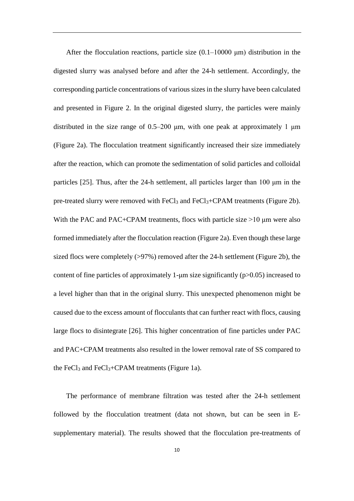After the flocculation reactions, particle size  $(0.1-10000 \mu m)$  distribution in the digested slurry was analysed before and after the 24-h settlement. Accordingly, the corresponding particle concentrations of various sizes in the slurry have been calculated and presented in Figure 2. In the original digested slurry, the particles were mainly distributed in the size range of  $0.5-200 \mu m$ , with one peak at approximately 1  $\mu$ m (Figure 2a). The flocculation treatment significantly increased their size immediately after the reaction, which can promote the sedimentation of solid particles and colloidal particles [25]. Thus, after the 24-h settlement, all particles larger than 100 μm in the pre-treated slurry were removed with  $FeCl<sub>3</sub>$  and  $FeCl<sub>3</sub>+CPAM$  treatments (Figure 2b). With the PAC and PAC+CPAM treatments, flocs with particle size >10 μm were also formed immediately after the flocculation reaction (Figure 2a). Even though these large sized flocs were completely (>97%) removed after the 24-h settlement (Figure 2b), the content of fine particles of approximately 1-μm size significantly  $(p>0.05)$  increased to a level higher than that in the original slurry. This unexpected phenomenon might be caused due to the excess amount of flocculants that can further react with flocs, causing large flocs to disintegrate [26]. This higher concentration of fine particles under PAC and PAC+CPAM treatments also resulted in the lower removal rate of SS compared to the FeCl<sub>3</sub> and FeCl<sub>3</sub>+CPAM treatments (Figure 1a).

The performance of membrane filtration was tested after the 24-h settlement followed by the flocculation treatment (data not shown, but can be seen in Esupplementary material). The results showed that the flocculation pre-treatments of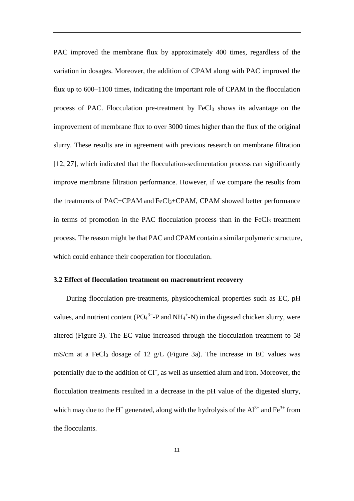PAC improved the membrane flux by approximately 400 times, regardless of the variation in dosages. Moreover, the addition of CPAM along with PAC improved the flux up to 600–1100 times, indicating the important role of CPAM in the flocculation process of PAC. Flocculation pre-treatment by FeCl<sub>3</sub> shows its advantage on the improvement of membrane flux to over 3000 times higher than the flux of the original slurry. These results are in agreement with previous research on membrane filtration [12, 27], which indicated that the flocculation-sedimentation process can significantly improve membrane filtration performance. However, if we compare the results from the treatments of PAC+CPAM and FeCl3+CPAM, CPAM showed better performance in terms of promotion in the PAC flocculation process than in the  $FeCl<sub>3</sub>$  treatment process. The reason might be that PAC and CPAM contain a similar polymeric structure, which could enhance their cooperation for flocculation.

# **3.2 Effect of flocculation treatment on macronutrient recovery**

During flocculation pre-treatments, physicochemical properties such as EC, pH values, and nutrient content ( $PO_4^{3-}$ -P and NH<sub>4</sub><sup>+</sup>-N) in the digested chicken slurry, were altered (Figure 3). The EC value increased through the flocculation treatment to 58 mS/cm at a FeCl<sub>3</sub> dosage of 12 g/L (Figure 3a). The increase in EC values was potentially due to the addition of Cl<sup>-</sup>, as well as unsettled alum and iron. Moreover, the flocculation treatments resulted in a decrease in the pH value of the digested slurry, which may due to the H<sup>+</sup> generated, along with the hydrolysis of the  $Al^{3+}$  and  $Fe^{3+}$  from the flocculants.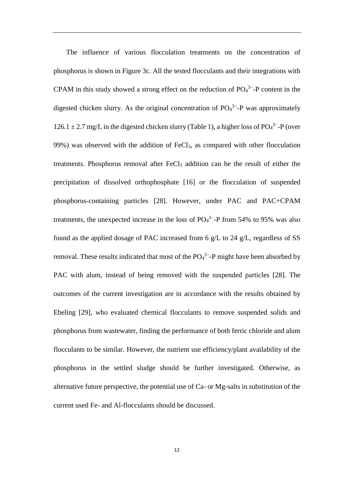The influence of various flocculation treatments on the concentration of phosphorus is shown in Figure 3c. All the tested flocculants and their integrations with CPAM in this study showed a strong effect on the reduction of  $PO_4^{3-}$ -P content in the digested chicken slurry. As the original concentration of  $PO<sub>4</sub><sup>3-</sup>-P$  was approximately  $126.1 \pm 2.7$  mg/L in the digested chicken slurry (Table 1), a higher loss of PO<sub>4</sub><sup>3-</sup>-P (over 99%) was observed with the addition of  $FeCl<sub>3</sub>$ , as compared with other flocculation treatments. Phosphorus removal after FeCl<sup>3</sup> addition can be the result of either the precipitation of dissolved orthophosphate [16] or the flocculation of suspended phosphorus-containing particles [28]. However, under PAC and PAC+CPAM treatments, the unexpected increase in the loss of  $PO<sub>4</sub><sup>3</sup>$ -P from 54% to 95% was also found as the applied dosage of PAC increased from 6 g/L to 24 g/L, regardless of SS removal. These results indicated that most of the  $PO_4^{3-}$ -P might have been absorbed by PAC with alum, instead of being removed with the suspended particles [28]. The outcomes of the current investigation are in accordance with the results obtained by Ebeling [29], who evaluated chemical flocculants to remove suspended solids and phosphorus from wastewater, finding the performance of both ferric chloride and alum flocculants to be similar. However, the nutrient use efficiency/plant availability of the phosphorus in the settled sludge should be further investigated. Otherwise, as alternative future perspective, the potential use of Ca- or Mg-salts in substitution of the current used Fe- and Al-flocculants should be discussed.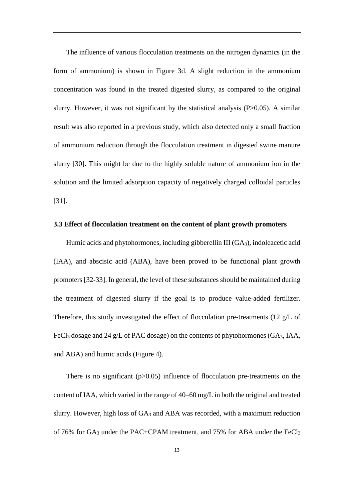The influence of various flocculation treatments on the nitrogen dynamics (in the form of ammonium) is shown in Figure 3d. A slight reduction in the ammonium concentration was found in the treated digested slurry, as compared to the original slurry. However, it was not significant by the statistical analysis  $(P>0.05)$ . A similar result was also reported in a previous study, which also detected only a small fraction of ammonium reduction through the flocculation treatment in digested swine manure slurry [30]. This might be due to the highly soluble nature of ammonium ion in the solution and the limited adsorption capacity of negatively charged colloidal particles [31].

### **3.3 Effect of flocculation treatment on the content of plant growth promoters**

Humic acids and phytohormones, including gibberellin III (GA<sub>3</sub>), indoleacetic acid (IAA), and abscisic acid (ABA), have been proved to be functional plant growth promoters[32-33]. In general, the level of these substances should be maintained during the treatment of digested slurry if the goal is to produce value-added fertilizer. Therefore, this study investigated the effect of flocculation pre-treatments (12 g/L of FeCl<sup>3</sup> dosage and 24 g/L of PAC dosage) on the contents of phytohormones (GA3, IAA, and ABA) and humic acids (Figure 4).

There is no significant  $(p>0.05)$  influence of flocculation pre-treatments on the content of IAA, which varied in the range of 40–60 mg/L in both the original and treated slurry. However, high loss of  $GA_3$  and  $ABA$  was recorded, with a maximum reduction of 76% for GA<sup>3</sup> under the PAC+CPAM treatment, and 75% for ABA under the FeCl<sup>3</sup>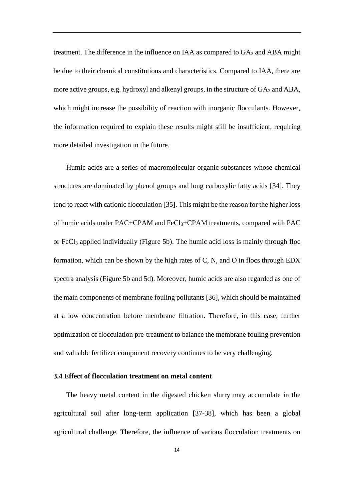treatment. The difference in the influence on IAA as compared to  $GA_3$  and ABA might be due to their chemical constitutions and characteristics. Compared to IAA, there are more active groups, e.g. hydroxyl and alkenyl groups, in the structure of  $GA_3$  and  $ABA$ , which might increase the possibility of reaction with inorganic flocculants. However, the information required to explain these results might still be insufficient, requiring more detailed investigation in the future.

Humic acids are a series of macromolecular organic substances whose chemical structures are dominated by phenol groups and long carboxylic fatty acids [34]. They tend to react with cationic flocculation [35]. This might be the reason for the higher loss of humic acids under PAC+CPAM and FeCl3+CPAM treatments, compared with PAC or FeCl<sup>3</sup> applied individually (Figure 5b). The humic acid loss is mainly through floc formation, which can be shown by the high rates of C, N, and O in flocs through EDX spectra analysis (Figure 5b and 5d). Moreover, humic acids are also regarded as one of the main components of membrane fouling pollutants [36], which should be maintained at a low concentration before membrane filtration. Therefore, in this case, further optimization of flocculation pre-treatment to balance the membrane fouling prevention and valuable fertilizer component recovery continues to be very challenging.

# **3.4 Effect of flocculation treatment on metal content**

The heavy metal content in the digested chicken slurry may accumulate in the agricultural soil after long-term application [37-38], which has been a global agricultural challenge. Therefore, the influence of various flocculation treatments on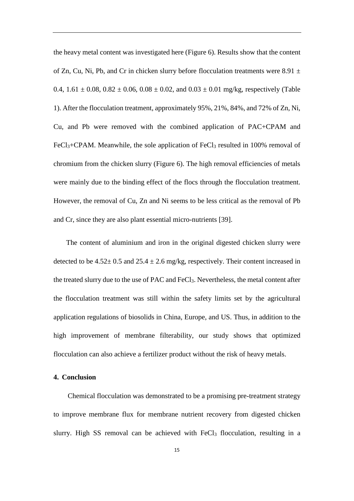the heavy metal content was investigated here (Figure 6). Results show that the content of Zn, Cu, Ni, Pb, and Cr in chicken slurry before flocculation treatments were 8.91  $\pm$ 0.4,  $1.61 \pm 0.08$ ,  $0.82 \pm 0.06$ ,  $0.08 \pm 0.02$ , and  $0.03 \pm 0.01$  mg/kg, respectively (Table 1). After the flocculation treatment, approximately 95%, 21%, 84%, and 72% of Zn, Ni, Cu, and Pb were removed with the combined application of PAC+CPAM and  $FeCl<sub>3</sub>+CPAM$ . Meanwhile, the sole application of  $FeCl<sub>3</sub>$  resulted in 100% removal of chromium from the chicken slurry (Figure 6). The high removal efficiencies of metals were mainly due to the binding effect of the flocs through the flocculation treatment. However, the removal of Cu, Zn and Ni seems to be less critical as the removal of Pb and Cr, since they are also plant essential micro-nutrients [39].

The content of aluminium and iron in the original digested chicken slurry were detected to be  $4.52 \pm 0.5$  and  $25.4 \pm 2.6$  mg/kg, respectively. Their content increased in the treated slurry due to the use of PAC and FeCl3. Nevertheless, the metal content after the flocculation treatment was still within the safety limits set by the agricultural application regulations of biosolids in China, Europe, and US. Thus, in addition to the high improvement of membrane filterability, our study shows that optimized flocculation can also achieve a fertilizer product without the risk of heavy metals.

# **4. Conclusion**

Chemical flocculation was demonstrated to be a promising pre-treatment strategy to improve membrane flux for membrane nutrient recovery from digested chicken slurry. High SS removal can be achieved with FeCl<sub>3</sub> flocculation, resulting in a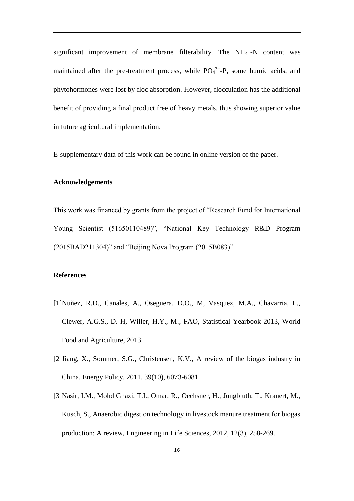significant improvement of membrane filterability. The NH<sub>4</sub>+-N content was maintained after the pre-treatment process, while  $PO_4^{3-}$ -P, some humic acids, and phytohormones were lost by floc absorption. However, flocculation has the additional benefit of providing a final product free of heavy metals, thus showing superior value in future agricultural implementation.

E-supplementary data of this work can be found in online version of the paper.

# **Acknowledgements**

This work was financed by grants from the project of "Research Fund for International Young Scientist (51650110489)", "National Key Technology R&D Program (2015BAD211304)" and "Beijing Nova Program (2015B083)".

### **References**

- [1]Nuñez, R.D., Canales, A., Oseguera, D.O., M, Vasquez, M.A., Chavarria, L., Clewer, A.G.S., D. H, Willer, H.Y., M., FAO, Statistical Yearbook 2013, World Food and Agriculture, 2013.
- [2]Jiang, X., Sommer, S.G., Christensen, K.V., A review of the biogas industry in China, Energy Policy, 2011, 39(10), 6073-6081.
- [3]Nasir, I.M., Mohd Ghazi, T.I., Omar, R., Oechsner, H., Jungbluth, T., Kranert, M., Kusch, S., Anaerobic digestion technology in livestock manure treatment for biogas production: A review, Engineering in Life Sciences, 2012, 12(3), 258-269.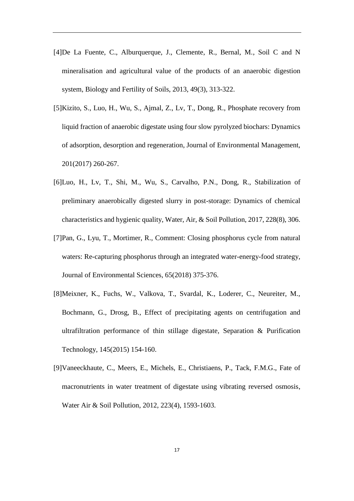- [4]De La Fuente, C., Alburquerque, J., Clemente, R., Bernal, M., Soil C and N mineralisation and agricultural value of the products of an anaerobic digestion system, Biology and Fertility of Soils, 2013, 49(3), 313-322.
- [5]Kizito, S., Luo, H., Wu, S., Ajmal, Z., Lv, T., Dong, R., Phosphate recovery from liquid fraction of anaerobic digestate using four slow pyrolyzed biochars: Dynamics of adsorption, desorption and regeneration, Journal of Environmental Management, 201(2017) 260-267.
- [6]Luo, H., Lv, T., Shi, M., Wu, S., Carvalho, P.N., Dong, R., Stabilization of preliminary anaerobically digested slurry in post-storage: Dynamics of chemical characteristics and hygienic quality, Water, Air, & Soil Pollution, 2017, 228(8), 306.
- [7]Pan, G., Lyu, T., Mortimer, R., Comment: Closing phosphorus cycle from natural waters: Re-capturing phosphorus through an integrated water-energy-food strategy, Journal of Environmental Sciences, 65(2018) 375-376.
- [8]Meixner, K., Fuchs, W., Valkova, T., Svardal, K., Loderer, C., Neureiter, M., Bochmann, G., Drosg, B., Effect of precipitating agents on centrifugation and ultrafiltration performance of thin stillage digestate, Separation & Purification Technology, 145(2015) 154-160.
- [9]Vaneeckhaute, C., Meers, E., Michels, E., Christiaens, P., Tack, F.M.G., Fate of macronutrients in water treatment of digestate using vibrating reversed osmosis, Water Air & Soil Pollution, 2012, 223(4), 1593-1603.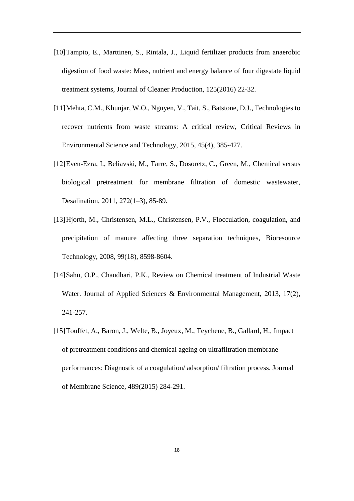- [10]Tampio, E., Marttinen, S., Rintala, J., Liquid fertilizer products from anaerobic digestion of food waste: Mass, nutrient and energy balance of four digestate liquid treatment systems, Journal of Cleaner Production, 125(2016) 22-32.
- [11]Mehta, C.M., Khunjar, W.O., Nguyen, V., Tait, S., Batstone, D.J., Technologies to recover nutrients from waste streams: A critical review, Critical Reviews in Environmental Science and Technology, 2015, 45(4), 385-427.
- [12]Even-Ezra, I., Beliavski, M., Tarre, S., Dosoretz, C., Green, M., Chemical versus biological pretreatment for membrane filtration of domestic wastewater, Desalination, 2011, 272(1–3), 85-89.
- [13]Hjorth, M., Christensen, M.L., Christensen, P.V., Flocculation, coagulation, and precipitation of manure affecting three separation techniques, Bioresource Technology, 2008, 99(18), 8598-8604.
- [14]Sahu, O.P., Chaudhari, P.K., Review on Chemical treatment of Industrial Waste Water. Journal of Applied Sciences & Environmental Management, 2013, 17(2), 241-257.
- [15]Touffet, A., Baron, J., Welte, B., Joyeux, M., Teychene, B., Gallard, H., Impact of pretreatment conditions and chemical ageing on ultrafiltration membrane performances: Diagnostic of a coagulation/ adsorption/ filtration process. Journal of Membrane Science, 489(2015) 284-291.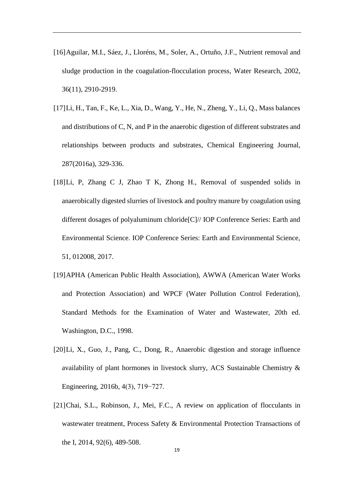- [16]Aguilar, M.I., Sáez, J., Lloréns, M., Soler, A., Ortuño, J.F., Nutrient removal and sludge production in the coagulation-flocculation process, Water Research, 2002, 36(11), 2910-2919.
- [17]Li, H., Tan, F., Ke, L., Xia, D., Wang, Y., He, N., Zheng, Y., Li, Q., Mass balances and distributions of C, N, and P in the anaerobic digestion of different substrates and relationships between products and substrates, Chemical Engineering Journal, 287(2016a), 329-336.
- [18]Li, P, Zhang C J, Zhao T K, Zhong H., Removal of suspended solids in anaerobically digested slurries of livestock and poultry manure by coagulation using different dosages of polyaluminum chloride[C]// IOP Conference Series: Earth and Environmental Science. IOP Conference Series: Earth and Environmental Science, 51, 012008, 2017.
- [19]APHA (American Public Health Association), AWWA (American Water Works and Protection Association) and WPCF (Water Pollution Control Federation), Standard Methods for the Examination of Water and Wastewater, 20th ed. Washington, D.C., 1998.
- [20]Li, X., Guo, J., Pang, C., Dong, R., Anaerobic digestion and storage influence availability of plant hormones in livestock slurry, ACS Sustainable Chemistry & Engineering, 2016b, 4(3), 719−727.
- [21]Chai, S.L., Robinson, J., Mei, F.C., A review on application of flocculants in wastewater treatment, Process Safety & Environmental Protection Transactions of the I, 2014, 92(6), 489-508.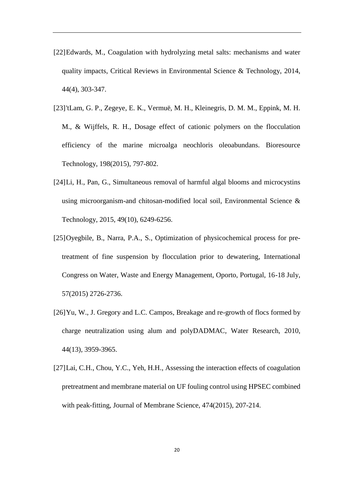- [22]Edwards, M., Coagulation with hydrolyzing metal salts: mechanisms and water quality impacts, Critical Reviews in Environmental Science & Technology, 2014, 44(4), 303-347.
- [23]'tLam, G. P., Zegeye, E. K., Vermuë, M. H., Kleinegris, D. M. M., Eppink, M. H. M., & Wijffels, R. H., Dosage effect of cationic polymers on the flocculation efficiency of the marine microalga neochloris oleoabundans. Bioresource Technology, 198(2015), 797-802.
- [24]Li, H., Pan, G., Simultaneous removal of harmful algal blooms and microcystins using microorganism-and chitosan-modified local soil, Environmental Science & Technology, 2015, 49(10), 6249-6256.
- [25]Oyegbile, B., Narra, P.A., S., Optimization of physicochemical process for pretreatment of fine suspension by flocculation prior to dewatering, International Congress on Water, Waste and Energy Management, Oporto, Portugal, 16-18 July, 57(2015) 2726-2736.
- [26]Yu, W., J. Gregory and L.C. Campos, Breakage and re-growth of flocs formed by charge neutralization using alum and polyDADMAC, Water Research, 2010, 44(13), 3959-3965.
- [27]Lai, C.H., Chou, Y.C., Yeh, H.H., Assessing the interaction effects of coagulation pretreatment and membrane material on UF fouling control using HPSEC combined with peak-fitting, Journal of Membrane Science, 474(2015), 207-214.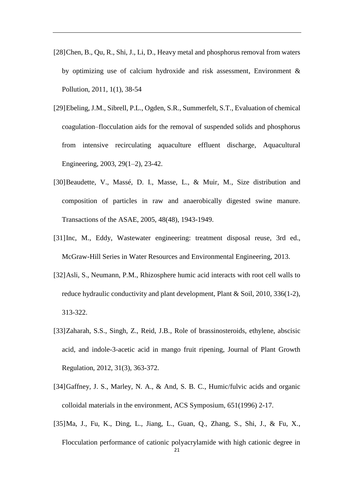- [28]Chen, B., Qu, R., Shi, J., Li, D., Heavy metal and phosphorus removal from waters by optimizing use of calcium hydroxide and risk assessment, Environment & Pollution, 2011, 1(1), 38-54
- [29]Ebeling, J.M., Sibrell, P.L., Ogden, S.R., Summerfelt, S.T., Evaluation of chemical coagulation–flocculation aids for the removal of suspended solids and phosphorus from intensive recirculating aquaculture effluent discharge, Aquacultural Engineering, 2003, 29(1–2), 23-42.
- [30] Beaudette, V., Massé, D. I., Masse, L., & Muir, M., Size distribution and composition of particles in raw and anaerobically digested swine manure. Transactions of the ASAE, 2005, 48(48), 1943-1949.
- [31]Inc, M., Eddy, Wastewater engineering: treatment disposal reuse, 3rd ed., McGraw-Hill Series in Water Resources and Environmental Engineering, 2013.
- [32]Asli, S., Neumann, P.M., Rhizosphere humic acid interacts with root cell walls to reduce hydraulic conductivity and plant development, Plant & Soil, 2010, 336(1-2), 313-322.
- [33]Zaharah, S.S., Singh, Z., Reid, J.B., Role of brassinosteroids, ethylene, abscisic acid, and indole-3-acetic acid in mango fruit ripening, Journal of Plant Growth Regulation, 2012, 31(3), 363-372.
- [34]Gaffney, J. S., Marley, N. A., & And, S. B. C., Humic/fulvic acids and organic colloidal materials in the environment, ACS Symposium, 651(1996) 2-17.
- 21 [35]Ma, J., Fu, K., Ding, L., Jiang, L., Guan, Q., Zhang, S., Shi, J., & Fu, X., Flocculation performance of cationic polyacrylamide with high cationic degree in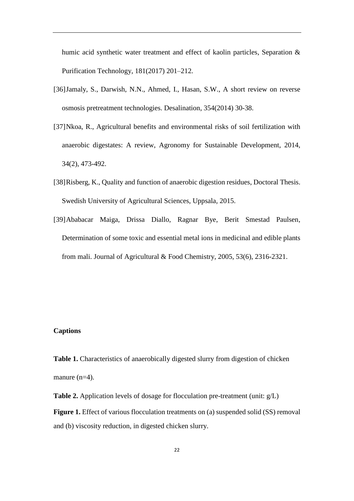humic acid synthetic water treatment and effect of kaolin particles, Separation & Purification Technology, 181(2017) 201–212.

- [36]Jamaly, S., Darwish, N.N., Ahmed, I., Hasan, S.W., A short review on reverse osmosis pretreatment technologies. Desalination, 354(2014) 30-38.
- [37]Nkoa, R., Agricultural benefits and environmental risks of soil fertilization with anaerobic digestates: A review, Agronomy for Sustainable Development, 2014, 34(2), 473-492.
- [38]Risberg, K., Quality and function of anaerobic digestion residues, Doctoral Thesis. Swedish University of Agricultural Sciences, Uppsala, 2015.
- [39]Ababacar Maiga, Drissa Diallo, Ragnar Bye, Berit Smestad Paulsen, Determination of some toxic and essential metal ions in medicinal and edible plants from mali. Journal of Agricultural & Food Chemistry, 2005, 53(6), 2316-2321.

# **Captions**

**Table 1.** Characteristics of anaerobically digested slurry from digestion of chicken manure (n=4).

**Table 2.** Application levels of dosage for flocculation pre-treatment (unit: g/L) **Figure 1.** Effect of various flocculation treatments on (a) suspended solid (SS) removal and (b) viscosity reduction, in digested chicken slurry.